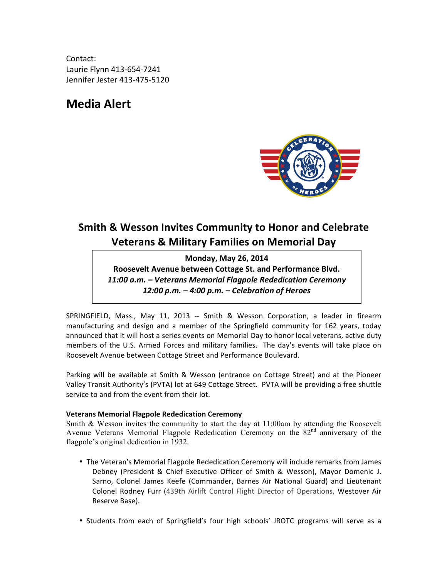Contact: Laurie Flynn 413-654-7241 Jennifer Jester 413-475-5120

# **Media Alert**



## **Smith & Wesson Invites Community to Honor and Celebrate Veterans & Military Families on Memorial Day**

**Monday, May 26, 2014**

Roosevelt Avenue between Cottage St. and Performance Blvd. *11:00 a.m. – Veterans Memorial Flagpole Rededication Ceremony 12:00 p.m. – 4:00 p.m. – Celebration of Heroes*

SPRINGFIELD, Mass., May 11, 2013 -- Smith & Wesson Corporation, a leader in firearm manufacturing and design and a member of the Springfield community for 162 years, today announced that it will host a series events on Memorial Day to honor local veterans, active duty members of the U.S. Armed Forces and military families. The day's events will take place on Roosevelt Avenue between Cottage Street and Performance Boulevard.

Parking will be available at Smith & Wesson (entrance on Cottage Street) and at the Pioneer Valley Transit Authority's (PVTA) lot at 649 Cottage Street. PVTA will be providing a free shuttle service to and from the event from their lot.

### **Veterans Memorial Flagpole Rededication Ceremony**

Smith & Wesson invites the community to start the day at 11:00am by attending the Roosevelt Avenue Veterans Memorial Flagpole Rededication Ceremony on the  $82<sup>nd</sup>$  anniversary of the flagpole's original dedication in 1932.

- The Veteran's Memorial Flagpole Rededication Ceremony will include remarks from James Debney (President & Chief Executive Officer of Smith & Wesson), Mayor Domenic J. Sarno, Colonel James Keefe (Commander, Barnes Air National Guard) and Lieutenant Colonel Rodney Furr (439th Airlift Control Flight Director of Operations, Westover Air Reserve Base).
- Students from each of Springfield's four high schools' JROTC programs will serve as a